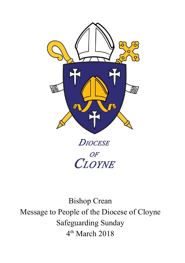

**DIOCESE** 

OF OF

Bishop Crean Message to People of the Diocese of Cloyne Safeguarding Sunday 4 th March 2018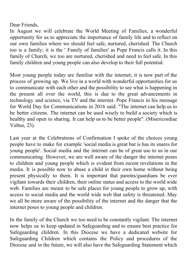Dear Friends,

In August we will celebrate the World Meeting of Families, a wonderful opportunity for us to appreciate the importance of family life and to reflect on our own families where we should feel safe, nurtured, cherished. The Church too is a family; it is the ' Family of families' as Pope Francis calls it. In this family of Church, we too are nurtured, cherished and need to feel safe. In this family children and young people can also develop to their full potential.

Most young people today are familiar with the internet; it is now part of the process of growing up. We live in a world with wonderful opportunities for us to communicate with each other and the possibility to see what is happening in the present all over the world, this is due to the great advancements in technology and science, via TV and the internet. Pope Francis in his message for World Day for Communications in 2016 said: "The internet can help us to be better citizens. The internet can be used wisely to build a society which is healthy and open to sharing. It can help us to be better people". (Misericordiae Vultus, 23).

Last year at the Celebrations of Confirmation I spoke of the choices young people have to make for example 'social media is great but is has its snares for young people'. Social media and the internet can be of great use to us in our communicating. However, we are well aware of the danger the internet poses to children and young people which is evident from recent revelations in the media. It is possible now to abuse a child in their own home without being present physically to them. It is important that parents/guardians be ever vigilant towards their children, their online status and access to the world wide web. Families are meant to be safe places for young people to grow up, with access to social media and the world wide web that safety is threatened. May we all be more aware of the possibility of the internet and the danger that the internet poses to young people and children.

In the family of the Church we too need to be constantly vigilant. The internet now helps us to keep updated in Safeguarding and to ensure best practice for Safeguarding children. In this Diocese we have a dedicated website for Safeguarding Children which contains the Policy and procedures of the Diocese and in the future, we will also have the Safeguarding Statement which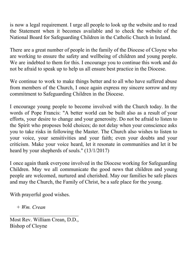is now a legal requirement. I urge all people to look up the website and to read the Statement when it becomes available and to check the website of the National Board for Safeguarding Children in the Catholic Church in Ireland.

There are a great number of people in the family of the Diocese of Cloyne who are working to ensure the safety and wellbeing of children and young people. We are indebted to them for this. I encourage you to continue this work and do not be afraid to speak up to help us all ensure best practice in the Diocese.

We continue to work to make things better and to all who have suffered abuse from members of the Church, I once again express my sincere sorrow and my commitment to Safeguarding Children in the Diocese.

I encourage young people to become involved with the Church today. In the words of Pope Francis: "A better world can be built also as a result of your efforts, your desire to change and your generosity. Do not be afraid to listen to the Spirit who proposes bold choices; do not delay when your conscience asks you to take risks in following the Master. The Church also wishes to listen to your voice, your sensitivities and your faith; even your doubts and your criticism. Make your voice heard, let it resonate in communities and let it be heard by your shepherds of souls." (13/1/2017)

I once again thank everyone involved in the Diocese working for Safeguarding Children. May we all communicate the good news that children and young people are welcomed, nurtured and cherished. May our families be safe places and may the Church, the Family of Christ, be a safe place for the young.

With prayerful good wishes.

*+ Wm. Crean*

Most Rev. William Crean, D.D., Bishop of Cloyne

 $\mathcal{L}_\text{max}$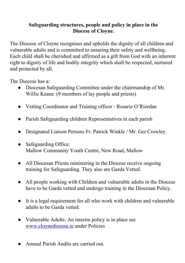### **Safeguarding structures, people and policy in place in the Diocese of Cloyne.**

The Diocese of Cloyne recognises and upholds the dignity of all children and vulnerable adults and is committed to ensuring their safety and wellbeing. Each child shall be cherished and affirmed as a gift from God with an inherent right to dignity of life and bodily integrity which shall be respected, nurtured and protected by all.

The Diocese has a:

- Diocesan Safeguarding Committee under the chairmanship of Mr. Willie Keane. (9 members of lay people and priests)
- Vetting Coordinator and Training officer Rosarie O'Riordan
- Parish Safeguarding children Representatives in each parish
- Designated Liaison Persons Fr. Patrick Winkle / Mr. Ger Crowley
- Safeguarding Office: Mallow Community Youth Centre, New Road, Mallow
- All Diocesan Priests ministering in the Diocese receive ongoing training for Safeguarding. They also are Garda Vetted.
- All people working with Children and vulnerable adults in the Diocese have to be Garda vetted and undergo training in the Diocesan Policy.
- It is a legal requirement for all who work with children and vulnerable adults to be Garda vetted.
- Vulnerable Adults: An interim policy is in place see [www.cloynediocese.ie](http://www.cloynediocese.ie/) under Policies
- Annual Parish Audits are carried out.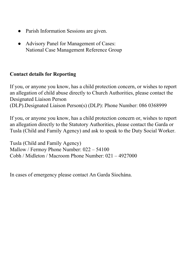- Parish Information Sessions are given.
- Advisory Panel for Management of Cases: National Case Management Reference Group

## **Contact details for Reporting**

If you, or anyone you know, has a child protection concern, or wishes to report an allegation of child abuse directly to Church Authorities, please contact the Designated Liaison Person (DLP).Designated Liaison Person(s) (DLP): Phone Number: 086 0368999

If you, or anyone you know, has a child protection concern or, wishes to report an allegation directly to the Statutory Authorities, please contact the Garda or Tusla (Child and Family Agency) and ask to speak to the Duty Social Worker.

Tusla (Child and Family Agency) Mallow / Fermoy Phone Number: 022 – 54100 Cobh / Midleton / Macroom Phone Number: 021 – 4927000

In cases of emergency please contact An Garda Síochána.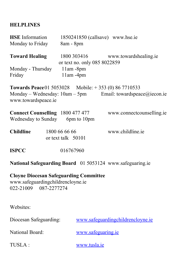# **HELPLINES**

| <b>HSE</b> Information<br>Monday to Friday                                                                  | 1850241850 (callsave) www.hse.ie<br>8am - 8pm                                                                                |
|-------------------------------------------------------------------------------------------------------------|------------------------------------------------------------------------------------------------------------------------------|
| <b>Toward Healing</b>                                                                                       | 1800 303416<br>www.towardshealing.ie<br>or text no. only 085 8022859                                                         |
| Monday - Thursday<br>Friday                                                                                 | 11am-8pm<br>11am-4pm                                                                                                         |
| www.towardspeace.ie                                                                                         | <b>Towards Peace</b> 01 5053028 Mobile: +353 (0) 86 7710533<br>Monday – Wednesday: $10am - 5pm$ Email: towardspeace@iecon.ie |
| <b>Connect Counselling</b> 1800 477 477<br>Wednesday to Sunday 6pm to 10pm                                  | www.connectcounselling.ie                                                                                                    |
| <b>Childline</b>                                                                                            | www.childline.ie<br>1800 66 66 66<br>or text talk 50101                                                                      |
| <b>ISPCC</b>                                                                                                | 016767960                                                                                                                    |
|                                                                                                             | National Safeguarding Board 01 5053124 www.safeguaring.ie                                                                    |
| <b>Cloyne Diocesan Safeguarding Committee</b><br>www.safeguardingchildrencloyne.ie<br>022-21009 087-2277274 |                                                                                                                              |
| Websites:                                                                                                   |                                                                                                                              |
| Diocesan Safeguarding:                                                                                      | www.safeguardingchildrencloyne.ie                                                                                            |
| National Board:                                                                                             | www.safeguaring.ie                                                                                                           |
| TUSLA:                                                                                                      | www.tusla.ie                                                                                                                 |